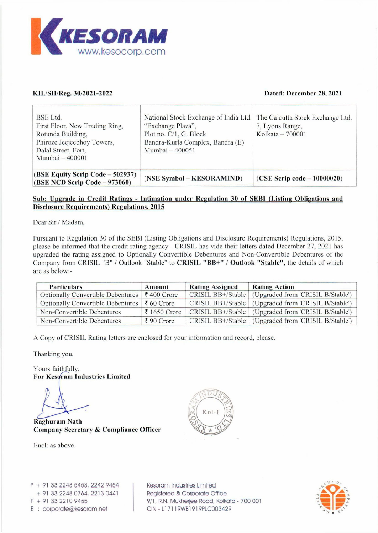

# KIL/SH/Reg. 30/2021-2022

## Dated: December 28, 2021

| KESORAM                                                                                                                                                                                                                 |                           |                                        |                                                                        |
|-------------------------------------------------------------------------------------------------------------------------------------------------------------------------------------------------------------------------|---------------------------|----------------------------------------|------------------------------------------------------------------------|
|                                                                                                                                                                                                                         |                           |                                        |                                                                        |
|                                                                                                                                                                                                                         |                           |                                        |                                                                        |
| www.kesocorp.com                                                                                                                                                                                                        |                           |                                        |                                                                        |
|                                                                                                                                                                                                                         |                           |                                        |                                                                        |
|                                                                                                                                                                                                                         |                           |                                        |                                                                        |
|                                                                                                                                                                                                                         |                           |                                        |                                                                        |
| KIL/SH/Reg. 30/2021-2022                                                                                                                                                                                                |                           |                                        | Dated: December 28, 2021                                               |
|                                                                                                                                                                                                                         |                           |                                        |                                                                        |
|                                                                                                                                                                                                                         |                           |                                        |                                                                        |
| <b>BSE</b> Ltd.                                                                                                                                                                                                         |                           | National Stock Exchange of India Ltd.  | The Calcutta Stock Exchange Ltd.                                       |
| First Floor, New Trading Ring,                                                                                                                                                                                          | "Exchange Plaza",         |                                        | 7, Lyons Range,<br>Kolkata - 700001                                    |
| Rotunda Building,                                                                                                                                                                                                       | Plot no. C/1, G. Block    |                                        |                                                                        |
|                                                                                                                                                                                                                         |                           |                                        |                                                                        |
| Phiroze Jeejeebhoy Towers,                                                                                                                                                                                              |                           | Bandra-Kurla Complex, Bandra (E)       |                                                                        |
| Dalal Street, Fort,                                                                                                                                                                                                     | Mumbai - 400051           |                                        |                                                                        |
| Mumbai - 400001                                                                                                                                                                                                         |                           |                                        |                                                                        |
|                                                                                                                                                                                                                         |                           |                                        |                                                                        |
| (BSE Equity Scrip Code - 502937)                                                                                                                                                                                        |                           | (NSE Symbol – KESORAMIND)              | $(CSE$ Scrip code $-10000020$                                          |
|                                                                                                                                                                                                                         |                           |                                        |                                                                        |
|                                                                                                                                                                                                                         |                           |                                        |                                                                        |
| <b>Disclosure Requirements) Regulations, 2015</b>                                                                                                                                                                       |                           |                                        |                                                                        |
|                                                                                                                                                                                                                         |                           |                                        |                                                                        |
|                                                                                                                                                                                                                         |                           |                                        |                                                                        |
| $(BSE NCD$ Scrip Code $-973060$ )<br>Sub: Upgrade in Credit Ratings - Intimation under Regulation 30 of SEBI (Listing Obligations and<br>Dear Sir / Madam,                                                              |                           |                                        |                                                                        |
| Pursuant to Regulation 30 of the SEBI (Listing Obligations and Disclosure Requirements) Regulations, 2015,                                                                                                              |                           |                                        |                                                                        |
|                                                                                                                                                                                                                         |                           |                                        |                                                                        |
| please be informed that the credit rating agency - CRISIL has vide their letters dated December 27, 2021 has<br>upgraded the rating assigned to Optionally Convertible Debentures and Non-Convertible Debentures of the |                           |                                        |                                                                        |
|                                                                                                                                                                                                                         |                           |                                        |                                                                        |
|                                                                                                                                                                                                                         |                           |                                        |                                                                        |
| <b>Particulars</b>                                                                                                                                                                                                      | <b>Amount</b>             | <b>Rating Assigned</b>                 | <b>Rating Action</b>                                                   |
| Company from CRISIL "B" / Outlook "Stable" to CRISIL "BB+" / Outlook "Stable", the details of which<br>are as below:-<br><b>Optionally Convertible Debentures</b>                                                       | ₹400 Crore                | CRISIL BB+/Stable                      | (Upgraded from 'CRISIL B/Stable')                                      |
| <b>Optionally Convertible Debentures</b>                                                                                                                                                                                | ₹ 60 Crore                | CRISIL BB+/Stable                      | (Upgraded from 'CRISIL B/Stable')                                      |
| Non-Convertible Debentures<br>Non-Convertible Debentures                                                                                                                                                                | ₹ 1650 Crore<br>₹90 Crore | CRISIL BB+/Stable<br>CRISIL BB+/Stable | (Upgraded from 'CRISIL B/Stable')<br>(Upgraded from 'CRISIL B/Stable') |

# Sub: Upgrade in Credit Ratings - Intimation under Regulation 30 of SEBI (Listing Obligations and Disclosure Requirements) Regulations, 2015

| <b>Particulars</b>                                            | Amount                    | <b>Rating Assigned</b> | <b>Rating Action</b>                                  |
|---------------------------------------------------------------|---------------------------|------------------------|-------------------------------------------------------|
| Optionally Convertible Debentures $\vert \xi \vert$ 400 Crore |                           |                        | CRISIL BB+/Stable (Upgraded from 'CRISIL B/Stable')   |
| Optionally Convertible Debentures                             | $\overline{\xi}$ 60 Crore |                        | CRISIL BB+/Stable (Upgraded from 'CRISIL B/Stable')   |
| Non-Convertible Debentures                                    | ₹ 1650 Crore              |                        | CRISIL BB+/Stable (Upgraded from 'CRISIL B/Stable')   |
| Non-Convertible Debentures                                    | ₹90 Crore                 |                        | CRISIL BB+/Stable   (Upgraded from 'CRISIL B/Stable') |

A Copy of CRISIL Rating letters are enclosed for your information and record, please.

Thanking you,

Yours faithfully, For Kesgram Industries Limited

Raghuram Nath Company Secretary & Compliance Officer

Encl: as above.



P + 91 33 2243 5453, 2242 9454 + 9] 33 2248 0764, 2213 0441  $F + 91$  33 2210 9455 E : corporate@kesoram.net

Registered & Corporate Office<br>9/1, R.N. Mukherjee Road, Kolkata - 700 001<br>CIN - L17119WB1919PLC003429 Kesoram Industries Limited 9/1, R.N. Mukherjee Road, Kolkata - 700 001 CIN - L17119WB1919PLC003429

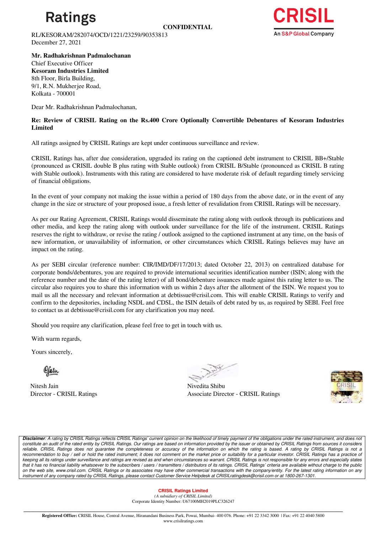

RL/KESORAM/282074/OCD/1221/23259/90353813 December 27, 2021



**Mr. Radhakrishnan Padmalochanan**  Chief Executive Officer **Kesoram Industries Limited** 8th Floor, Birla Building, 9/1, R.N. Mukherjee Road, Kolkata - 700001

Dear Mr. Radhakrishnan Padmalochanan,

**Re: Review of CRISIL Rating on the Rs.400 Crore Optionally Convertible Debentures of Kesoram Industries Limited**

All ratings assigned by CRISIL Ratings are kept under continuous surveillance and review.

CRISIL Ratings has, after due consideration, upgraded its rating on the captioned debt instrument to CRISIL BB+/Stable (pronounced as CRISIL double B plus rating with Stable outlook) from CRISIL B/Stable (pronounced as CRISIL B rating with Stable outlook). Instruments with this rating are considered to have moderate risk of default regarding timely servicing of financial obligations.

In the event of your company not making the issue within a period of 180 days from the above date, or in the event of any change in the size or structure of your proposed issue, a fresh letter of revalidation from CRISIL Ratings will be necessary.

As per our Rating Agreement, CRISIL Ratings would disseminate the rating along with outlook through its publications and other media, and keep the rating along with outlook under surveillance for the life of the instrument. CRISIL Ratings reserves the right to withdraw, or revise the rating / outlook assigned to the captioned instrument at any time, on the basis of new information, or unavailability of information, or other circumstances which CRISIL Ratings believes may have an impact on the rating.

As per SEBI circular (reference number: CIR/IMD/DF/17/2013; dated October 22, 2013) on centralized database for corporate bonds/debentures, you are required to provide international securities identification number (ISIN; along with the reference number and the date of the rating letter) of all bond/debenture issuances made against this rating letter to us. The circular also requires you to share this information with us within 2 days after the allotment of the ISIN. We request you to mail us all the necessary and relevant information at debtissue@crisil.com. This will enable CRISIL Ratings to verify and confirm to the depositories, including NSDL and CDSL, the ISIN details of debt rated by us, as required by SEBI. Feel free to contact us at debtissue@crisil.com for any clarification you may need.

Should you require any clarification, please feel free to get in touch with us.

With warm regards,

Yours sincerely,

Nitesh Jain Nivedita Shibu

Director - CRISIL Ratings Associate Director - CRISIL Ratings



**Disclaimer**: A rating by CRISIL Ratings reflects CRISIL Ratings' current opinion on the likelihood of timely payment of the obligations under the rated instrument, and does not constitute an audit of the rated entity by CRISIL Ratings. Our ratings are based on information provided by the issuer or obtained by CRISIL Ratings from sources it considers reliable. CRISIL Ratings does not guarantee the completeness or accuracy of the information on which the rating is based. A rating by CRISIL Ratings is not a recommendation to buy / sell or hold the rated instrument; it does not comment on the market price or suitability for a particular investor. CRISIL Ratings has a practice of keeping all its ratings under surveillance and ratings are revised as and when circumstances so warrant. CRISIL Ratings is not responsible for any errors and especially states that it has no financial liability whatsoever to the subscribers / users / transmitters / distributors of its ratings. CRISIL Ratings' criteria are available without charge to the public on the web site, www.crisil.com. CRISIL Ratings or its associates may have other commercial transactions with the company/entity. For the latest rating information on any instrument of any company rated by CRISIL Ratings, please contact Customer Service Helpdesk at CRISILratingdesk@crisil.com or at 1800-267-1301.

## **CRISIL Ratings Limited**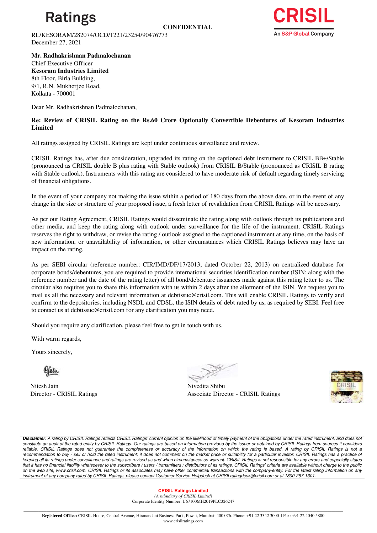

RL/KESORAM/282074/OCD/1221/23254/90476773 December 27, 2021



**Mr. Radhakrishnan Padmalochanan**  Chief Executive Officer **Kesoram Industries Limited** 8th Floor, Birla Building, 9/1, R.N. Mukherjee Road, Kolkata - 700001

Dear Mr. Radhakrishnan Padmalochanan,

## **Re: Review of CRISIL Rating on the Rs.60 Crore Optionally Convertible Debentures of Kesoram Industries Limited**

All ratings assigned by CRISIL Ratings are kept under continuous surveillance and review.

CRISIL Ratings has, after due consideration, upgraded its rating on the captioned debt instrument to CRISIL BB+/Stable (pronounced as CRISIL double B plus rating with Stable outlook) from CRISIL B/Stable (pronounced as CRISIL B rating with Stable outlook). Instruments with this rating are considered to have moderate risk of default regarding timely servicing of financial obligations.

In the event of your company not making the issue within a period of 180 days from the above date, or in the event of any change in the size or structure of your proposed issue, a fresh letter of revalidation from CRISIL Ratings will be necessary.

As per our Rating Agreement, CRISIL Ratings would disseminate the rating along with outlook through its publications and other media, and keep the rating along with outlook under surveillance for the life of the instrument. CRISIL Ratings reserves the right to withdraw, or revise the rating / outlook assigned to the captioned instrument at any time, on the basis of new information, or unavailability of information, or other circumstances which CRISIL Ratings believes may have an impact on the rating.

As per SEBI circular (reference number: CIR/IMD/DF/17/2013; dated October 22, 2013) on centralized database for corporate bonds/debentures, you are required to provide international securities identification number (ISIN; along with the reference number and the date of the rating letter) of all bond/debenture issuances made against this rating letter to us. The circular also requires you to share this information with us within 2 days after the allotment of the ISIN. We request you to mail us all the necessary and relevant information at debtissue@crisil.com. This will enable CRISIL Ratings to verify and confirm to the depositories, including NSDL and CDSL, the ISIN details of debt rated by us, as required by SEBI. Feel free to contact us at debtissue@crisil.com for any clarification you may need.

Should you require any clarification, please feel free to get in touch with us.

With warm regards,

Yours sincerely,

Nitesh Jain Nivedita Shibu

Director - CRISIL Ratings Associate Director - CRISIL Ratings



**Disclaimer**: A rating by CRISIL Ratings reflects CRISIL Ratings' current opinion on the likelihood of timely payment of the obligations under the rated instrument, and does not constitute an audit of the rated entity by CRISIL Ratings. Our ratings are based on information provided by the issuer or obtained by CRISIL Ratings from sources it considers reliable. CRISIL Ratings does not guarantee the completeness or accuracy of the information on which the rating is based. A rating by CRISIL Ratings is not a recommendation to buy / sell or hold the rated instrument; it does not comment on the market price or suitability for a particular investor. CRISIL Ratings has a practice of keeping all its ratings under surveillance and ratings are revised as and when circumstances so warrant. CRISIL Ratings is not responsible for any errors and especially states that it has no financial liability whatsoever to the subscribers / users / transmitters / distributors of its ratings. CRISIL Ratings' criteria are available without charge to the public on the web site, www.crisil.com. CRISIL Ratings or its associates may have other commercial transactions with the company/entity. For the latest rating information on any instrument of any company rated by CRISIL Ratings, please contact Customer Service Helpdesk at CRISILratingdesk@crisil.com or at 1800-267-1301.

#### **CRISIL Ratings Limited**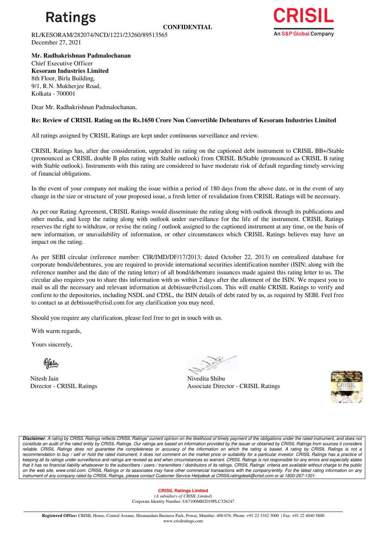

RL/KESORAM/282074/NCD/1221/23260/89513565 December 27, 2021



**Mr. Radhakrishnan Padmalochanan**  Chief Executive Officer **Kesoram Industries Limited** 8th Floor, Birla Building, 9/1, R.N. Mukherjee Road, Kolkata - 700001

Dear Mr. Radhakrishnan Padmalochanan,

## **Re: Review of CRISIL Rating on the Rs.1650 Crore Non Convertible Debentures of Kesoram Industries Limited**

All ratings assigned by CRISIL Ratings are kept under continuous surveillance and review.

CRISIL Ratings has, after due consideration, upgraded its rating on the captioned debt instrument to CRISIL BB+/Stable (pronounced as CRISIL double B plus rating with Stable outlook) from CRISIL B/Stable (pronounced as CRISIL B rating with Stable outlook). Instruments with this rating are considered to have moderate risk of default regarding timely servicing of financial obligations.

In the event of your company not making the issue within a period of 180 days from the above date, or in the event of any change in the size or structure of your proposed issue, a fresh letter of revalidation from CRISIL Ratings will be necessary.

As per our Rating Agreement, CRISIL Ratings would disseminate the rating along with outlook through its publications and other media, and keep the rating along with outlook under surveillance for the life of the instrument. CRISIL Ratings reserves the right to withdraw, or revise the rating / outlook assigned to the captioned instrument at any time, on the basis of new information, or unavailability of information, or other circumstances which CRISIL Ratings believes may have an impact on the rating.

As per SEBI circular (reference number: CIR/IMD/DF/17/2013; dated October 22, 2013) on centralized database for corporate bonds/debentures, you are required to provide international securities identification number (ISIN; along with the reference number and the date of the rating letter) of all bond/debenture issuances made against this rating letter to us. The circular also requires you to share this information with us within 2 days after the allotment of the ISIN. We request you to mail us all the necessary and relevant information at debtissue@crisil.com. This will enable CRISIL Ratings to verify and confirm to the depositories, including NSDL and CDSL, the ISIN details of debt rated by us, as required by SEBI. Feel free to contact us at debtissue@crisil.com for any clarification you may need.

Should you require any clarification, please feel free to get in touch with us.

With warm regards,

Yours sincerely,

Nitesh Jain Nivedita Shibu

Director - CRISIL Ratings Associate Director - CRISIL Ratings



**Disclaimer**: A rating by CRISIL Ratings reflects CRISIL Ratings' current opinion on the likelihood of timely payment of the obligations under the rated instrument, and does not constitute an audit of the rated entity by CRISIL Ratings. Our ratings are based on information provided by the issuer or obtained by CRISIL Ratings from sources it considers reliable. CRISIL Ratings does not guarantee the completeness or accuracy of the information on which the rating is based. A rating by CRISIL Ratings is not a recommendation to buy / sell or hold the rated instrument; it does not comment on the market price or suitability for a particular investor. CRISIL Ratings has a practice of keeping all its ratings under surveillance and ratings are revised as and when circumstances so warrant. CRISIL Ratings is not responsible for any errors and especially states that it has no financial liability whatsoever to the subscribers / users / transmitters / distributors of its ratings. CRISIL Ratings' criteria are available without charge to the public on the web site, www.crisil.com. CRISIL Ratings or its associates may have other commercial transactions with the company/entity. For the latest rating information on any instrument of any company rated by CRISIL Ratings, please contact Customer Service Helpdesk at CRISILratingdesk@crisil.com or at 1800-267-1301.

## **CRISIL Ratings Limited**